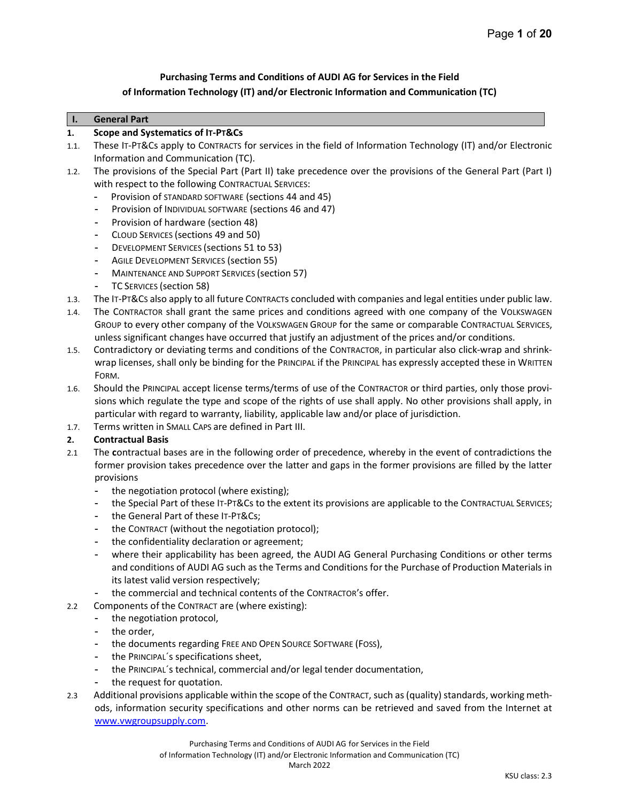## Purchasing Terms and Conditions of AUDI AG for Services in the Field of Information Technology (IT) and/or Electronic Information and Communication (TC)

#### I. General Part

#### 1. Scope and Systematics of IT-PT&Cs

- 1.1. These IT-PT&Cs apply to CONTRACTS for services in the field of Information Technology (IT) and/or Electronic Information and Communication (TC).
- 1.2. The provisions of the Special Part (Part II) take precedence over the provisions of the General Part (Part I) with respect to the following CONTRACTUAL SERVICES:
	- Provision of STANDARD SOFTWARE (sections 44 and 45)
	- Provision of INDIVIDUAL SOFTWARE (sections 46 and 47)
	- Provision of hardware (section 48)
	- CLOUD SERVICES (sections 49 and 50)
	- DEVELOPMENT SERVICES (sections 51 to 53)
	- AGILE DEVELOPMENT SERVICES (section 55)
	- MAINTENANCE AND SUPPORT SERVICES (section 57)
	- TC SERVICES (section 58)
- 1.3. The IT-PT&CS also apply to all future CONTRACTs concluded with companies and legal entities under public law.
- 1.4. The CONTRACTOR shall grant the same prices and conditions agreed with one company of the VOLKSWAGEN GROUP to every other company of the VOLKSWAGEN GROUP for the same or comparable CONTRACTUAL SERVICES, unless significant changes have occurred that justify an adjustment of the prices and/or conditions.
- 1.5. Contradictory or deviating terms and conditions of the CONTRACTOR, in particular also click-wrap and shrinkwrap licenses, shall only be binding for the PRINCIPAL if the PRINCIPAL has expressly accepted these in WRITTEN FORM.
- 1.6. Should the PRINCIPAL accept license terms/terms of use of the CONTRACTOR or third parties, only those provisions which regulate the type and scope of the rights of use shall apply. No other provisions shall apply, in particular with regard to warranty, liability, applicable law and/or place of jurisdiction.
- 1.7. Terms written in SMALL CAPS are defined in Part III.

## 2. Contractual Basis

- 2.1 The contractual bases are in the following order of precedence, whereby in the event of contradictions the former provision takes precedence over the latter and gaps in the former provisions are filled by the latter provisions
	- the negotiation protocol (where existing);
	- the Special Part of these IT-PT&Cs to the extent its provisions are applicable to the CONTRACTUAL SERVICES;
	- the General Part of these IT-PT&Cs;
	- the CONTRACT (without the negotiation protocol);
	- the confidentiality declaration or agreement;
	- where their applicability has been agreed, the AUDI AG General Purchasing Conditions or other terms and conditions of AUDI AG such as the Terms and Conditions for the Purchase of Production Materials in its latest valid version respectively;
	- the commercial and technical contents of the CONTRACTOR's offer.
- 2.2 Components of the CONTRACT are (where existing):
	- the negotiation protocol,
	- the order,
	- the documents regarding FREE AND OPEN SOURCE SOFTWARE (FOSS),
	- the PRINCIPAL's specifications sheet,
	- the PRINCIPAL´s technical, commercial and/or legal tender documentation,
	- the request for quotation.
- 2.3 Additional provisions applicable within the scope of the CONTRACT, such as (quality) standards, working methods, information security specifications and other norms can be retrieved and saved from the Internet at www.vwgroupsupply.com.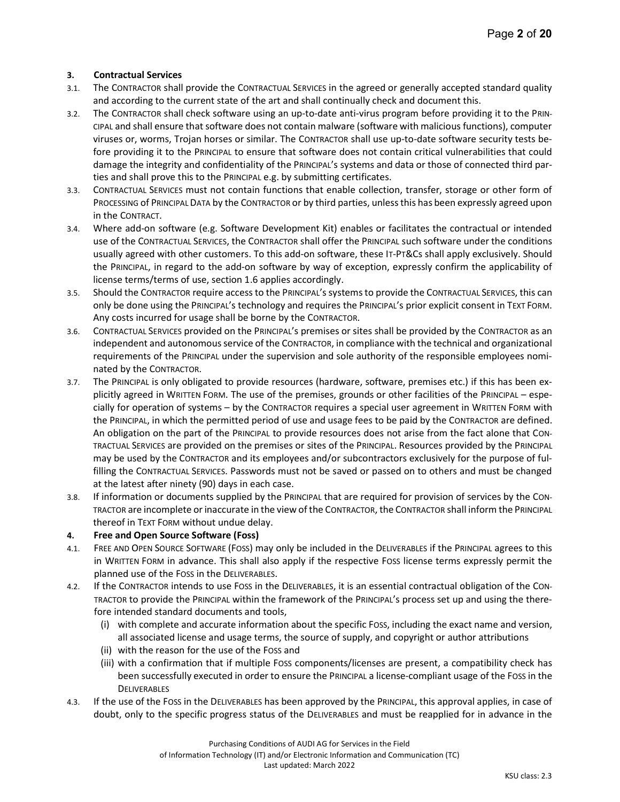## 3. Contractual Services

- 3.1. The CONTRACTOR shall provide the CONTRACTUAL SERVICES in the agreed or generally accepted standard quality and according to the current state of the art and shall continually check and document this.
- 3.2. The CONTRACTOR shall check software using an up-to-date anti-virus program before providing it to the PRIN-CIPAL and shall ensure that software does not contain malware (software with malicious functions), computer viruses or, worms, Trojan horses or similar. The CONTRACTOR shall use up-to-date software security tests before providing it to the PRINCIPAL to ensure that software does not contain critical vulnerabilities that could damage the integrity and confidentiality of the PRINCIPAL's systems and data or those of connected third parties and shall prove this to the PRINCIPAL e.g. by submitting certificates.
- 3.3. CONTRACTUAL SERVICES must not contain functions that enable collection, transfer, storage or other form of PROCESSING of PRINCIPAL DATA by the CONTRACTOR or by third parties, unless this has been expressly agreed upon in the CONTRACT.
- 3.4. Where add-on software (e.g. Software Development Kit) enables or facilitates the contractual or intended use of the CONTRACTUAL SERVICES, the CONTRACTOR shall offer the PRINCIPAL such software under the conditions usually agreed with other customers. To this add-on software, these IT-PT&Cs shall apply exclusively. Should the PRINCIPAL, in regard to the add-on software by way of exception, expressly confirm the applicability of license terms/terms of use, section 1.6 applies accordingly.
- 3.5. Should the CONTRACTOR require access to the PRINCIPAL's systems to provide the CONTRACTUAL SERVICES, this can only be done using the PRINCIPAL's technology and requires the PRINCIPAL's prior explicit consent in TEXT FORM. Any costs incurred for usage shall be borne by the CONTRACTOR.
- 3.6. CONTRACTUAL SERVICES provided on the PRINCIPAL's premises or sites shall be provided by the CONTRACTOR as an independent and autonomous service of the CONTRACTOR, in compliance with the technical and organizational requirements of the PRINCIPAL under the supervision and sole authority of the responsible employees nominated by the CONTRACTOR.
- 3.7. The PRINCIPAL is only obligated to provide resources (hardware, software, premises etc.) if this has been explicitly agreed in WRITTEN FORM. The use of the premises, grounds or other facilities of the PRINCIPAL – especially for operation of systems – by the CONTRACTOR requires a special user agreement in WRITTEN FORM with the PRINCIPAL, in which the permitted period of use and usage fees to be paid by the CONTRACTOR are defined. An obligation on the part of the PRINCIPAL to provide resources does not arise from the fact alone that CON-TRACTUAL SERVICES are provided on the premises or sites of the PRINCIPAL. Resources provided by the PRINCIPAL may be used by the CONTRACTOR and its employees and/or subcontractors exclusively for the purpose of fulfilling the CONTRACTUAL SERVICES. Passwords must not be saved or passed on to others and must be changed at the latest after ninety (90) days in each case.
- 3.8. If information or documents supplied by the PRINCIPAL that are required for provision of services by the CON-TRACTOR are incomplete or inaccurate in the view of the CONTRACTOR, the CONTRACTOR shall inform the PRINCIPAL thereof in TEXT FORM without undue delay.

## 4. Free and Open Source Software (Foss)

- 4.1. FREE AND OPEN SOURCE SOFTWARE (FOSS) may only be included in the DELIVERABLES if the PRINCIPAL agrees to this in WRITTEN FORM in advance. This shall also apply if the respective FOSS license terms expressly permit the planned use of the FOSS in the DELIVERABLES.
- 4.2. If the CONTRACTOR intends to use FOSS in the DELIVERABLES, it is an essential contractual obligation of the CON-TRACTOR to provide the PRINCIPAL within the framework of the PRINCIPAL's process set up and using the therefore intended standard documents and tools,
	- (i) with complete and accurate information about the specific FOSS, including the exact name and version, all associated license and usage terms, the source of supply, and copyright or author attributions
	- (ii) with the reason for the use of the FOSS and
	- (iii) with a confirmation that if multiple FOSS components/licenses are present, a compatibility check has been successfully executed in order to ensure the PRINCIPAL a license-compliant usage of the FOSS in the **DELIVERABLES**
- 4.3. If the use of the FOSS in the DELIVERABLES has been approved by the PRINCIPAL, this approval applies, in case of doubt, only to the specific progress status of the DELIVERABLES and must be reapplied for in advance in the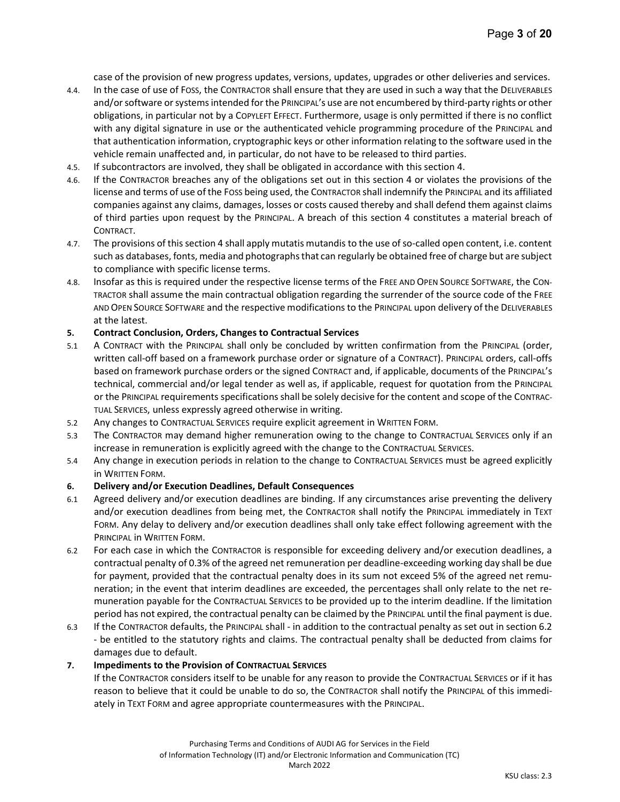case of the provision of new progress updates, versions, updates, upgrades or other deliveries and services.

- 4.4. In the case of use of FOSS, the CONTRACTOR shall ensure that they are used in such a way that the DELIVERABLES and/or software or systems intended for the PRINCIPAL's use are not encumbered by third-party rights or other obligations, in particular not by a COPYLEFT EFFECT. Furthermore, usage is only permitted if there is no conflict with any digital signature in use or the authenticated vehicle programming procedure of the PRINCIPAL and that authentication information, cryptographic keys or other information relating to the software used in the vehicle remain unaffected and, in particular, do not have to be released to third parties.
- 4.5. If subcontractors are involved, they shall be obligated in accordance with this section 4.
- 4.6. If the CONTRACTOR breaches any of the obligations set out in this section 4 or violates the provisions of the license and terms of use of the FOSS being used, the CONTRACTOR shall indemnify the PRINCIPAL and its affiliated companies against any claims, damages, losses or costs caused thereby and shall defend them against claims of third parties upon request by the PRINCIPAL. A breach of this section 4 constitutes a material breach of CONTRACT.
- 4.7. The provisions of this section 4 shall apply mutatis mutandis to the use of so-called open content, i.e. content such as databases, fonts, media and photographs that can regularly be obtained free of charge but are subject to compliance with specific license terms.
- 4.8. Insofar as this is required under the respective license terms of the FREE AND OPEN SOURCE SOFTWARE, the CON-TRACTOR shall assume the main contractual obligation regarding the surrender of the source code of the FREE AND OPEN SOURCE SOFTWARE and the respective modifications to the PRINCIPAL upon delivery of the DELIVERABLES at the latest.

#### 5. Contract Conclusion, Orders, Changes to Contractual Services

- 5.1 A CONTRACT with the PRINCIPAL shall only be concluded by written confirmation from the PRINCIPAL (order, written call-off based on a framework purchase order or signature of a CONTRACT). PRINCIPAL orders, call-offs based on framework purchase orders or the signed CONTRACT and, if applicable, documents of the PRINCIPAL's technical, commercial and/or legal tender as well as, if applicable, request for quotation from the PRINCIPAL or the PRINCIPAL requirements specifications shall be solely decisive for the content and scope of the CONTRAC-TUAL SERVICES, unless expressly agreed otherwise in writing.
- 5.2 Any changes to CONTRACTUAL SERVICES require explicit agreement in WRITTEN FORM.
- 5.3 The CONTRACTOR may demand higher remuneration owing to the change to CONTRACTUAL SERVICES only if an increase in remuneration is explicitly agreed with the change to the CONTRACTUAL SERVICES.
- 5.4 Any change in execution periods in relation to the change to CONTRACTUAL SERVICES must be agreed explicitly in WRITTEN FORM.

#### 6. Delivery and/or Execution Deadlines, Default Consequences

- 6.1 Agreed delivery and/or execution deadlines are binding. If any circumstances arise preventing the delivery and/or execution deadlines from being met, the CONTRACTOR shall notify the PRINCIPAL immediately in TEXT FORM. Any delay to delivery and/or execution deadlines shall only take effect following agreement with the PRINCIPAL in WRITTEN FORM.
- 6.2 For each case in which the CONTRACTOR is responsible for exceeding delivery and/or execution deadlines, a contractual penalty of 0.3% of the agreed net remuneration per deadline-exceeding working day shall be due for payment, provided that the contractual penalty does in its sum not exceed 5% of the agreed net remuneration; in the event that interim deadlines are exceeded, the percentages shall only relate to the net remuneration payable for the CONTRACTUAL SERVICES to be provided up to the interim deadline. If the limitation period has not expired, the contractual penalty can be claimed by the PRINCIPAL until the final payment is due.
- 6.3 If the CONTRACTOR defaults, the PRINCIPAL shall in addition to the contractual penalty as set out in section 6.2 - be entitled to the statutory rights and claims. The contractual penalty shall be deducted from claims for damages due to default.

#### 7. Impediments to the Provision of CONTRACTUAL SERVICES

If the CONTRACTOR considers itself to be unable for any reason to provide the CONTRACTUAL SERVICES or if it has reason to believe that it could be unable to do so, the CONTRACTOR shall notify the PRINCIPAL of this immediately in TEXT FORM and agree appropriate countermeasures with the PRINCIPAL.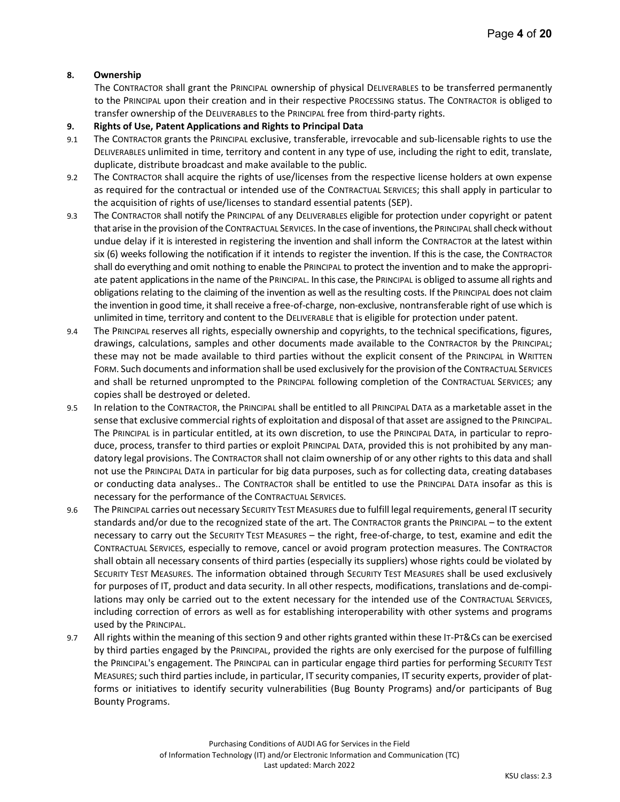## 8. Ownership

The CONTRACTOR shall grant the PRINCIPAL ownership of physical DELIVERABLES to be transferred permanently to the PRINCIPAL upon their creation and in their respective PROCESSING status. The CONTRACTOR is obliged to transfer ownership of the DELIVERABLES to the PRINCIPAL free from third-party rights.

- 9. Rights of Use, Patent Applications and Rights to Principal Data
- 9.1 The CONTRACTOR grants the PRINCIPAL exclusive, transferable, irrevocable and sub-licensable rights to use the DELIVERABLES unlimited in time, territory and content in any type of use, including the right to edit, translate, duplicate, distribute broadcast and make available to the public.
- 9.2 The CONTRACTOR shall acquire the rights of use/licenses from the respective license holders at own expense as required for the contractual or intended use of the CONTRACTUAL SERVICES; this shall apply in particular to the acquisition of rights of use/licenses to standard essential patents (SEP).
- 9.3 The CONTRACTOR shall notify the PRINCIPAL of any DELIVERABLES eligible for protection under copyright or patent that arise in the provision of the CONTRACTUAL SERVICES. In the case of inventions, the PRINCIPAL shall check without undue delay if it is interested in registering the invention and shall inform the CONTRACTOR at the latest within six (6) weeks following the notification if it intends to register the invention. If this is the case, the CONTRACTOR shall do everything and omit nothing to enable the PRINCIPAL to protect the invention and to make the appropriate patent applications in the name of the PRINCIPAL. In this case, the PRINCIPAL is obliged to assume all rights and obligations relating to the claiming of the invention as well as the resulting costs. If the PRINCIPAL does not claim the invention in good time, it shall receive a free-of-charge, non-exclusive, nontransferable right of use which is unlimited in time, territory and content to the DELIVERABLE that is eligible for protection under patent.
- 9.4 The PRINCIPAL reserves all rights, especially ownership and copyrights, to the technical specifications, figures, drawings, calculations, samples and other documents made available to the CONTRACTOR by the PRINCIPAL; these may not be made available to third parties without the explicit consent of the PRINCIPAL in WRITTEN FORM. Such documents and information shall be used exclusively for the provision of the CONTRACTUAL SERVICES and shall be returned unprompted to the PRINCIPAL following completion of the CONTRACTUAL SERVICES; any copies shall be destroyed or deleted.
- 9.5 In relation to the CONTRACTOR, the PRINCIPAL shall be entitled to all PRINCIPAL DATA as a marketable asset in the sense that exclusive commercial rights of exploitation and disposal of that asset are assigned to the PRINCIPAL. The PRINCIPAL is in particular entitled, at its own discretion, to use the PRINCIPAL DATA, in particular to reproduce, process, transfer to third parties or exploit PRINCIPAL DATA, provided this is not prohibited by any mandatory legal provisions. The CONTRACTOR shall not claim ownership of or any other rights to this data and shall not use the PRINCIPAL DATA in particular for big data purposes, such as for collecting data, creating databases or conducting data analyses.. The CONTRACTOR shall be entitled to use the PRINCIPAL DATA insofar as this is necessary for the performance of the CONTRACTUAL SERVICES.
- 9.6 The PRINCIPAL carries out necessary SECURITY TEST MEASURES due to fulfill legal requirements, general IT security standards and/or due to the recognized state of the art. The CONTRACTOR grants the PRINCIPAL – to the extent necessary to carry out the SECURITY TEST MEASURES – the right, free-of-charge, to test, examine and edit the CONTRACTUAL SERVICES, especially to remove, cancel or avoid program protection measures. The CONTRACTOR shall obtain all necessary consents of third parties (especially its suppliers) whose rights could be violated by SECURITY TEST MEASURES. The information obtained through SECURITY TEST MEASURES shall be used exclusively for purposes of IT, product and data security. In all other respects, modifications, translations and de-compilations may only be carried out to the extent necessary for the intended use of the CONTRACTUAL SERVICES, including correction of errors as well as for establishing interoperability with other systems and programs used by the PRINCIPAL.
- 9.7 All rights within the meaning of this section 9 and other rights granted within these IT-PT&Cs can be exercised by third parties engaged by the PRINCIPAL, provided the rights are only exercised for the purpose of fulfilling the PRINCIPAL's engagement. The PRINCIPAL can in particular engage third parties for performing SECURITY TEST MEASURES; such third parties include, in particular, IT security companies, IT security experts, provider of platforms or initiatives to identify security vulnerabilities (Bug Bounty Programs) and/or participants of Bug Bounty Programs.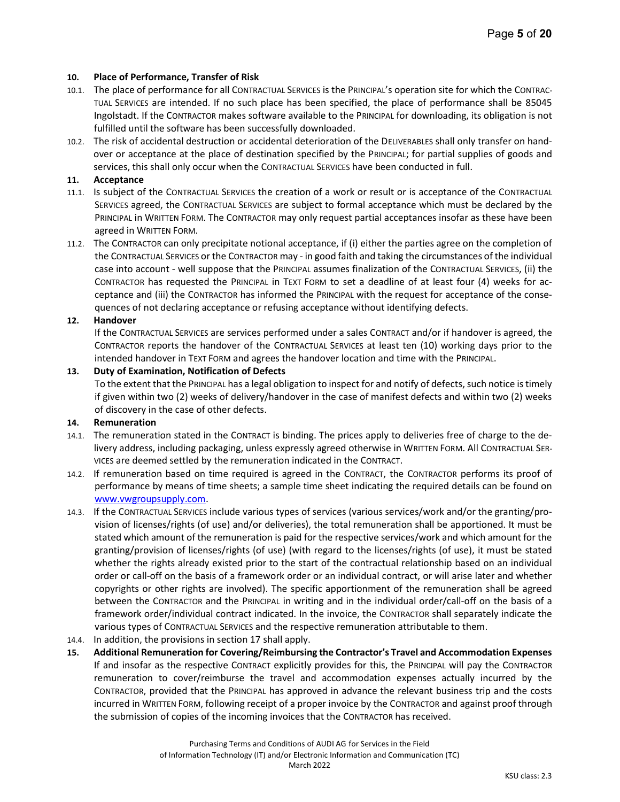## 10. Place of Performance, Transfer of Risk

- 10.1. The place of performance for all CONTRACTUAL SERVICES is the PRINCIPAL's operation site for which the CONTRAC-TUAL SERVICES are intended. If no such place has been specified, the place of performance shall be 85045 Ingolstadt. If the CONTRACTOR makes software available to the PRINCIPAL for downloading, its obligation is not fulfilled until the software has been successfully downloaded.
- 10.2. The risk of accidental destruction or accidental deterioration of the DELIVERABLES shall only transfer on handover or acceptance at the place of destination specified by the PRINCIPAL; for partial supplies of goods and services, this shall only occur when the CONTRACTUAL SERVICES have been conducted in full.

## 11. Acceptance

- 11.1. Is subject of the CONTRACTUAL SERVICES the creation of a work or result or is acceptance of the CONTRACTUAL SERVICES agreed, the CONTRACTUAL SERVICES are subject to formal acceptance which must be declared by the PRINCIPAL in WRITTEN FORM. The CONTRACTOR may only request partial acceptances insofar as these have been agreed in WRITTEN FORM.
- 11.2. The CONTRACTOR can only precipitate notional acceptance, if (i) either the parties agree on the completion of the CONTRACTUAL SERVICES or the CONTRACTOR may - in good faith and taking the circumstances of the individual case into account - well suppose that the PRINCIPAL assumes finalization of the CONTRACTUAL SERVICES, (ii) the CONTRACTOR has requested the PRINCIPAL in TEXT FORM to set a deadline of at least four (4) weeks for acceptance and (iii) the CONTRACTOR has informed the PRINCIPAL with the request for acceptance of the consequences of not declaring acceptance or refusing acceptance without identifying defects.

## 12. Handover

If the CONTRACTUAL SERVICES are services performed under a sales CONTRACT and/or if handover is agreed, the CONTRACTOR reports the handover of the CONTRACTUAL SERVICES at least ten (10) working days prior to the intended handover in TEXT FORM and agrees the handover location and time with the PRINCIPAL.

## 13. Duty of Examination, Notification of Defects

To the extent that the PRINCIPAL has a legal obligation to inspect for and notify of defects, such notice is timely if given within two (2) weeks of delivery/handover in the case of manifest defects and within two (2) weeks of discovery in the case of other defects.

#### 14. Remuneration

- 14.1. The remuneration stated in the CONTRACT is binding. The prices apply to deliveries free of charge to the delivery address, including packaging, unless expressly agreed otherwise in WRITTEN FORM. All CONTRACTUAL SER-VICES are deemed settled by the remuneration indicated in the CONTRACT.
- 14.2. If remuneration based on time required is agreed in the CONTRACT, the CONTRACTOR performs its proof of performance by means of time sheets; a sample time sheet indicating the required details can be found on www.vwgroupsupply.com.
- 14.3. If the CONTRACTUAL SERVICES include various types of services (various services/work and/or the granting/provision of licenses/rights (of use) and/or deliveries), the total remuneration shall be apportioned. It must be stated which amount of the remuneration is paid for the respective services/work and which amount for the granting/provision of licenses/rights (of use) (with regard to the licenses/rights (of use), it must be stated whether the rights already existed prior to the start of the contractual relationship based on an individual order or call-off on the basis of a framework order or an individual contract, or will arise later and whether copyrights or other rights are involved). The specific apportionment of the remuneration shall be agreed between the CONTRACTOR and the PRINCIPAL in writing and in the individual order/call-off on the basis of a framework order/individual contract indicated. In the invoice, the CONTRACTOR shall separately indicate the various types of CONTRACTUAL SERVICES and the respective remuneration attributable to them.
- 14.4. In addition, the provisions in section 17 shall apply.
- 15. Additional Remuneration for Covering/Reimbursing the Contractor's Travel and Accommodation Expenses If and insofar as the respective CONTRACT explicitly provides for this, the PRINCIPAL will pay the CONTRACTOR remuneration to cover/reimburse the travel and accommodation expenses actually incurred by the CONTRACTOR, provided that the PRINCIPAL has approved in advance the relevant business trip and the costs incurred in WRITTEN FORM, following receipt of a proper invoice by the CONTRACTOR and against proof through the submission of copies of the incoming invoices that the CONTRACTOR has received.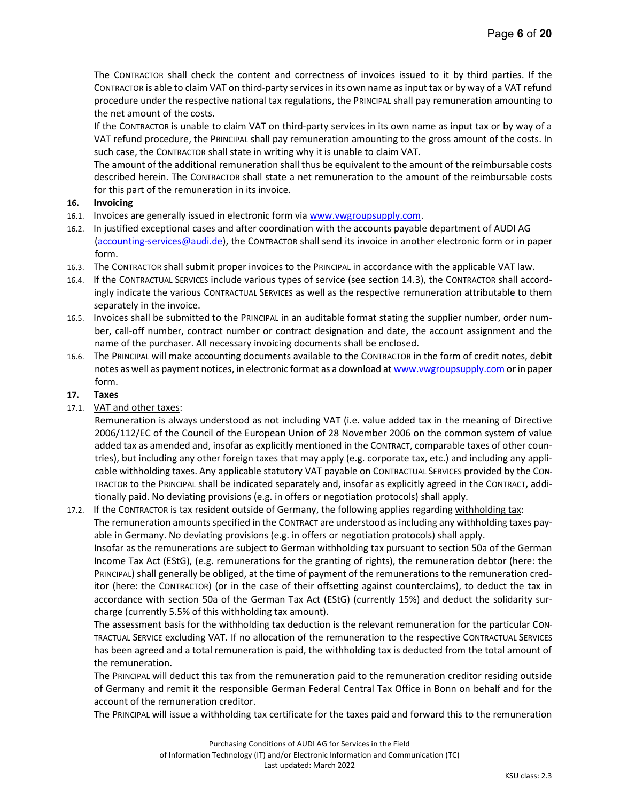The CONTRACTOR shall check the content and correctness of invoices issued to it by third parties. If the CONTRACTOR is able to claim VAT on third-party services in its own name as input tax or by way of a VAT refund procedure under the respective national tax regulations, the PRINCIPAL shall pay remuneration amounting to the net amount of the costs.

If the CONTRACTOR is unable to claim VAT on third-party services in its own name as input tax or by way of a VAT refund procedure, the PRINCIPAL shall pay remuneration amounting to the gross amount of the costs. In such case, the CONTRACTOR shall state in writing why it is unable to claim VAT.

The amount of the additional remuneration shall thus be equivalent to the amount of the reimbursable costs described herein. The CONTRACTOR shall state a net remuneration to the amount of the reimbursable costs for this part of the remuneration in its invoice.

#### 16. Invoicing

- 16.1. Invoices are generally issued in electronic form via www.vwgroupsupply.com.
- 16.2. In justified exceptional cases and after coordination with the accounts payable department of AUDI AG (accounting-services@audi.de), the CONTRACTOR shall send its invoice in another electronic form or in paper form.
- 16.3. The CONTRACTOR shall submit proper invoices to the PRINCIPAL in accordance with the applicable VAT law.
- 16.4. If the CONTRACTUAL SERVICES include various types of service (see section 14.3), the CONTRACTOR shall accordingly indicate the various CONTRACTUAL SERVICES as well as the respective remuneration attributable to them separately in the invoice.
- 16.5. Invoices shall be submitted to the PRINCIPAL in an auditable format stating the supplier number, order number, call-off number, contract number or contract designation and date, the account assignment and the name of the purchaser. All necessary invoicing documents shall be enclosed.
- 16.6. The PRINCIPAL will make accounting documents available to the CONTRACTOR in the form of credit notes, debit notes as well as payment notices, in electronic format as a download at www.vwgroupsupply.com or in paper form.

## 17. Taxes

17.1. VAT and other taxes:

Remuneration is always understood as not including VAT (i.e. value added tax in the meaning of Directive 2006/112/EC of the Council of the European Union of 28 November 2006 on the common system of value added tax as amended and, insofar as explicitly mentioned in the CONTRACT, comparable taxes of other countries), but including any other foreign taxes that may apply (e.g. corporate tax, etc.) and including any applicable withholding taxes. Any applicable statutory VAT payable on CONTRACTUAL SERVICES provided by the CON-TRACTOR to the PRINCIPAL shall be indicated separately and, insofar as explicitly agreed in the CONTRACT, additionally paid. No deviating provisions (e.g. in offers or negotiation protocols) shall apply.

17.2. If the CONTRACTOR is tax resident outside of Germany, the following applies regarding withholding tax: The remuneration amounts specified in the CONTRACT are understood as including any withholding taxes payable in Germany. No deviating provisions (e.g. in offers or negotiation protocols) shall apply.

Insofar as the remunerations are subject to German withholding tax pursuant to section 50a of the German Income Tax Act (EStG), (e.g. remunerations for the granting of rights), the remuneration debtor (here: the PRINCIPAL) shall generally be obliged, at the time of payment of the remunerations to the remuneration creditor (here: the CONTRACTOR) (or in the case of their offsetting against counterclaims), to deduct the tax in accordance with section 50a of the German Tax Act (EStG) (currently 15%) and deduct the solidarity surcharge (currently 5.5% of this withholding tax amount).

The assessment basis for the withholding tax deduction is the relevant remuneration for the particular CON-TRACTUAL SERVICE excluding VAT. If no allocation of the remuneration to the respective CONTRACTUAL SERVICES has been agreed and a total remuneration is paid, the withholding tax is deducted from the total amount of the remuneration.

The PRINCIPAL will deduct this tax from the remuneration paid to the remuneration creditor residing outside of Germany and remit it the responsible German Federal Central Tax Office in Bonn on behalf and for the account of the remuneration creditor.

The PRINCIPAL will issue a withholding tax certificate for the taxes paid and forward this to the remuneration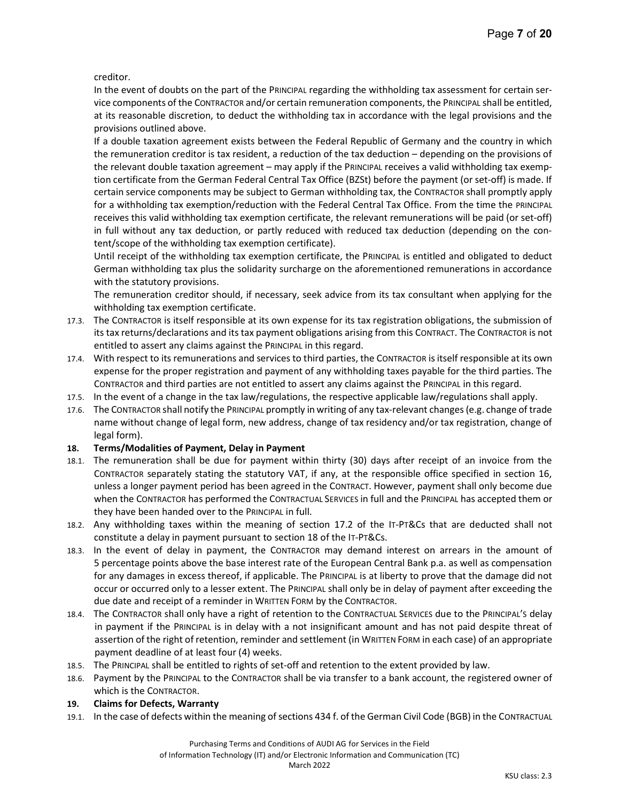creditor.

In the event of doubts on the part of the PRINCIPAL regarding the withholding tax assessment for certain service components of the CONTRACTOR and/or certain remuneration components, the PRINCIPAL shall be entitled, at its reasonable discretion, to deduct the withholding tax in accordance with the legal provisions and the provisions outlined above.

If a double taxation agreement exists between the Federal Republic of Germany and the country in which the remuneration creditor is tax resident, a reduction of the tax deduction – depending on the provisions of the relevant double taxation agreement – may apply if the PRINCIPAL receives a valid withholding tax exemption certificate from the German Federal Central Tax Office (BZSt) before the payment (or set-off) is made. If certain service components may be subject to German withholding tax, the CONTRACTOR shall promptly apply for a withholding tax exemption/reduction with the Federal Central Tax Office. From the time the PRINCIPAL receives this valid withholding tax exemption certificate, the relevant remunerations will be paid (or set-off) in full without any tax deduction, or partly reduced with reduced tax deduction (depending on the content/scope of the withholding tax exemption certificate).

Until receipt of the withholding tax exemption certificate, the PRINCIPAL is entitled and obligated to deduct German withholding tax plus the solidarity surcharge on the aforementioned remunerations in accordance with the statutory provisions.

The remuneration creditor should, if necessary, seek advice from its tax consultant when applying for the withholding tax exemption certificate.

- 17.3. The CONTRACTOR is itself responsible at its own expense for its tax registration obligations, the submission of its tax returns/declarations and its tax payment obligations arising from this CONTRACT. The CONTRACTOR is not entitled to assert any claims against the PRINCIPAL in this regard.
- 17.4. With respect to its remunerations and services to third parties, the CONTRACTOR is itself responsible at its own expense for the proper registration and payment of any withholding taxes payable for the third parties. The CONTRACTOR and third parties are not entitled to assert any claims against the PRINCIPAL in this regard.
- 17.5. In the event of a change in the tax law/regulations, the respective applicable law/regulations shall apply.
- 17.6. The CONTRACTOR shall notify the PRINCIPAL promptly in writing of any tax-relevant changes (e.g. change of trade name without change of legal form, new address, change of tax residency and/or tax registration, change of legal form).

## 18. Terms/Modalities of Payment, Delay in Payment

- 18.1. The remuneration shall be due for payment within thirty (30) days after receipt of an invoice from the CONTRACTOR separately stating the statutory VAT, if any, at the responsible office specified in section 16, unless a longer payment period has been agreed in the CONTRACT. However, payment shall only become due when the CONTRACTOR has performed the CONTRACTUAL SERVICES in full and the PRINCIPAL has accepted them or they have been handed over to the PRINCIPAL in full.
- 18.2. Any withholding taxes within the meaning of section 17.2 of the IT-PT&Cs that are deducted shall not constitute a delay in payment pursuant to section 18 of the IT-PT&Cs.
- 18.3. In the event of delay in payment, the CONTRACTOR may demand interest on arrears in the amount of 5 percentage points above the base interest rate of the European Central Bank p.a. as well as compensation for any damages in excess thereof, if applicable. The PRINCIPAL is at liberty to prove that the damage did not occur or occurred only to a lesser extent. The PRINCIPAL shall only be in delay of payment after exceeding the due date and receipt of a reminder in WRITTEN FORM by the CONTRACTOR.
- 18.4. The CONTRACTOR shall only have a right of retention to the CONTRACTUAL SERVICES due to the PRINCIPAL'S delay in payment if the PRINCIPAL is in delay with a not insignificant amount and has not paid despite threat of assertion of the right of retention, reminder and settlement (in WRITTEN FORM in each case) of an appropriate payment deadline of at least four (4) weeks.
- 18.5. The PRINCIPAL shall be entitled to rights of set-off and retention to the extent provided by law.
- 18.6. Payment by the PRINCIPAL to the CONTRACTOR shall be via transfer to a bank account, the registered owner of which is the CONTRACTOR.

## 19. Claims for Defects, Warranty

19.1. In the case of defects within the meaning of sections 434 f. of the German Civil Code (BGB) in the CONTRACTUAL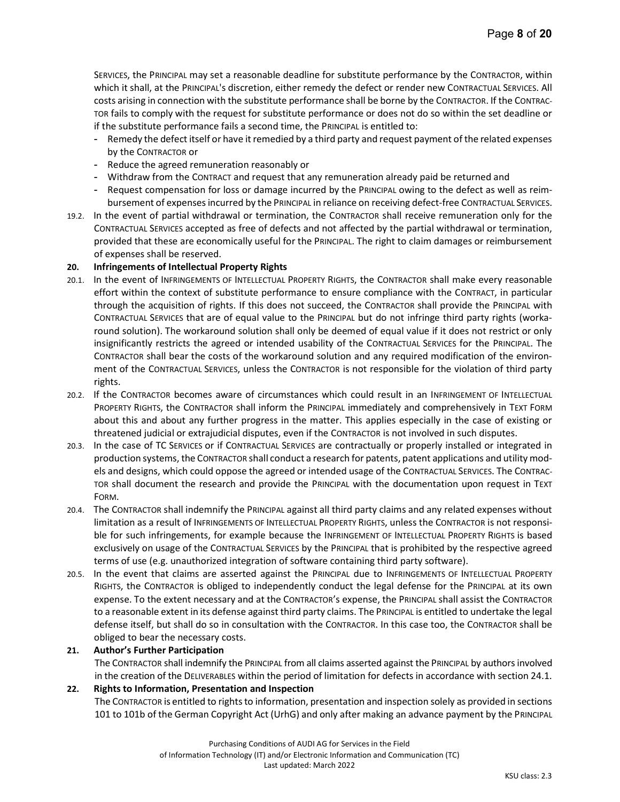SERVICES, the PRINCIPAL may set a reasonable deadline for substitute performance by the CONTRACTOR, within which it shall, at the PRINCIPAL's discretion, either remedy the defect or render new CONTRACTUAL SERVICES. All costs arising in connection with the substitute performance shall be borne by the CONTRACTOR. If the CONTRAC-TOR fails to comply with the request for substitute performance or does not do so within the set deadline or if the substitute performance fails a second time, the PRINCIPAL is entitled to:

- Remedy the defect itself or have it remedied by a third party and request payment of the related expenses by the CONTRACTOR or
- Reduce the agreed remuneration reasonably or
- Withdraw from the CONTRACT and request that any remuneration already paid be returned and
- Request compensation for loss or damage incurred by the PRINCIPAL owing to the defect as well as reimbursement of expenses incurred by the PRINCIPAL in reliance on receiving defect-free CONTRACTUAL SERVICES.
- 19.2. In the event of partial withdrawal or termination, the CONTRACTOR shall receive remuneration only for the CONTRACTUAL SERVICES accepted as free of defects and not affected by the partial withdrawal or termination, provided that these are economically useful for the PRINCIPAL. The right to claim damages or reimbursement of expenses shall be reserved.

#### 20. Infringements of Intellectual Property Rights

- 20.1. In the event of INFRINGEMENTS OF INTELLECTUAL PROPERTY RIGHTS, the CONTRACTOR shall make every reasonable effort within the context of substitute performance to ensure compliance with the CONTRACT, in particular through the acquisition of rights. If this does not succeed, the CONTRACTOR shall provide the PRINCIPAL with CONTRACTUAL SERVICES that are of equal value to the PRINCIPAL but do not infringe third party rights (workaround solution). The workaround solution shall only be deemed of equal value if it does not restrict or only insignificantly restricts the agreed or intended usability of the CONTRACTUAL SERVICES for the PRINCIPAL. The CONTRACTOR shall bear the costs of the workaround solution and any required modification of the environment of the CONTRACTUAL SERVICES, unless the CONTRACTOR is not responsible for the violation of third party rights.
- 20.2. If the CONTRACTOR becomes aware of circumstances which could result in an INFRINGEMENT OF INTELLECTUAL PROPERTY RIGHTS, the CONTRACTOR shall inform the PRINCIPAL immediately and comprehensively in TEXT FORM about this and about any further progress in the matter. This applies especially in the case of existing or threatened judicial or extrajudicial disputes, even if the CONTRACTOR is not involved in such disputes.
- 20.3. In the case of TC SERVICES or if CONTRACTUAL SERVICES are contractually or properly installed or integrated in production systems, the CONTRACTOR shall conduct a research for patents, patent applications and utility models and designs, which could oppose the agreed or intended usage of the CONTRACTUAL SERVICES. The CONTRAC-TOR shall document the research and provide the PRINCIPAL with the documentation upon request in TEXT FORM.
- 20.4. The CONTRACTOR shall indemnify the PRINCIPAL against all third party claims and any related expenses without limitation as a result of INFRINGEMENTS OF INTELLECTUAL PROPERTY RIGHTS, unless the CONTRACTOR is not responsible for such infringements, for example because the INFRINGEMENT OF INTELLECTUAL PROPERTY RIGHTS is based exclusively on usage of the CONTRACTUAL SERVICES by the PRINCIPAL that is prohibited by the respective agreed terms of use (e.g. unauthorized integration of software containing third party software).
- 20.5. In the event that claims are asserted against the PRINCIPAL due to INFRINGEMENTS OF INTELLECTUAL PROPERTY RIGHTS, the CONTRACTOR is obliged to independently conduct the legal defense for the PRINCIPAL at its own expense. To the extent necessary and at the CONTRACTOR's expense, the PRINCIPAL shall assist the CONTRACTOR to a reasonable extent in its defense against third party claims. The PRINCIPAL is entitled to undertake the legal defense itself, but shall do so in consultation with the CONTRACTOR. In this case too, the CONTRACTOR shall be obliged to bear the necessary costs.

# 21. Author's Further Participation

The CONTRACTOR shall indemnify the PRINCIPAL from all claims asserted against the PRINCIPAL by authors involved in the creation of the DELIVERABLES within the period of limitation for defects in accordance with section 24.1.

## 22. Rights to Information, Presentation and Inspection

The CONTRACTOR is entitled to rights to information, presentation and inspection solely as provided in sections 101 to 101b of the German Copyright Act (UrhG) and only after making an advance payment by the PRINCIPAL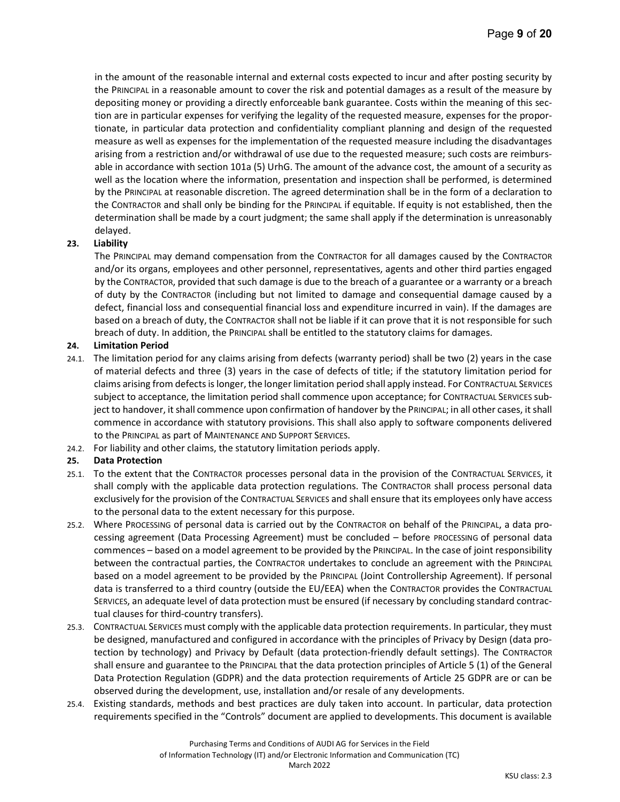in the amount of the reasonable internal and external costs expected to incur and after posting security by the PRINCIPAL in a reasonable amount to cover the risk and potential damages as a result of the measure by depositing money or providing a directly enforceable bank guarantee. Costs within the meaning of this section are in particular expenses for verifying the legality of the requested measure, expenses for the proportionate, in particular data protection and confidentiality compliant planning and design of the requested measure as well as expenses for the implementation of the requested measure including the disadvantages arising from a restriction and/or withdrawal of use due to the requested measure; such costs are reimbursable in accordance with section 101a (5) UrhG. The amount of the advance cost, the amount of a security as well as the location where the information, presentation and inspection shall be performed, is determined by the PRINCIPAL at reasonable discretion. The agreed determination shall be in the form of a declaration to the CONTRACTOR and shall only be binding for the PRINCIPAL if equitable. If equity is not established, then the determination shall be made by a court judgment; the same shall apply if the determination is unreasonably delayed.

## 23. Liability

The PRINCIPAL may demand compensation from the CONTRACTOR for all damages caused by the CONTRACTOR and/or its organs, employees and other personnel, representatives, agents and other third parties engaged by the CONTRACTOR, provided that such damage is due to the breach of a guarantee or a warranty or a breach of duty by the CONTRACTOR (including but not limited to damage and consequential damage caused by a defect, financial loss and consequential financial loss and expenditure incurred in vain). If the damages are based on a breach of duty, the CONTRACTOR shall not be liable if it can prove that it is not responsible for such breach of duty. In addition, the PRINCIPAL shall be entitled to the statutory claims for damages.

## 24. Limitation Period

- 24.1. The limitation period for any claims arising from defects (warranty period) shall be two (2) years in the case of material defects and three (3) years in the case of defects of title; if the statutory limitation period for claims arising from defects is longer, the longer limitation period shall apply instead. For CONTRACTUAL SERVICES subject to acceptance, the limitation period shall commence upon acceptance; for CONTRACTUAL SERVICES subject to handover, it shall commence upon confirmation of handover by the PRINCIPAL; in all other cases, it shall commence in accordance with statutory provisions. This shall also apply to software components delivered to the PRINCIPAL as part of MAINTENANCE AND SUPPORT SERVICES.
- 24.2. For liability and other claims, the statutory limitation periods apply.

## 25. Data Protection

- 25.1. To the extent that the CONTRACTOR processes personal data in the provision of the CONTRACTUAL SERVICES, it shall comply with the applicable data protection regulations. The CONTRACTOR shall process personal data exclusively for the provision of the CONTRACTUAL SERVICES and shall ensure that its employees only have access to the personal data to the extent necessary for this purpose.
- 25.2. Where PROCESSING of personal data is carried out by the CONTRACTOR on behalf of the PRINCIPAL, a data processing agreement (Data Processing Agreement) must be concluded – before PROCESSING of personal data commences – based on a model agreement to be provided by the PRINCIPAL. In the case of joint responsibility between the contractual parties, the CONTRACTOR undertakes to conclude an agreement with the PRINCIPAL based on a model agreement to be provided by the PRINCIPAL (Joint Controllership Agreement). If personal data is transferred to a third country (outside the EU/EEA) when the CONTRACTOR provides the CONTRACTUAL SERVICES, an adequate level of data protection must be ensured (if necessary by concluding standard contractual clauses for third-country transfers).
- 25.3. CONTRACTUAL SERVICES must comply with the applicable data protection requirements. In particular, they must be designed, manufactured and configured in accordance with the principles of Privacy by Design (data protection by technology) and Privacy by Default (data protection-friendly default settings). The CONTRACTOR shall ensure and guarantee to the PRINCIPAL that the data protection principles of Article 5 (1) of the General Data Protection Regulation (GDPR) and the data protection requirements of Article 25 GDPR are or can be observed during the development, use, installation and/or resale of any developments.
- 25.4. Existing standards, methods and best practices are duly taken into account. In particular, data protection requirements specified in the "Controls" document are applied to developments. This document is available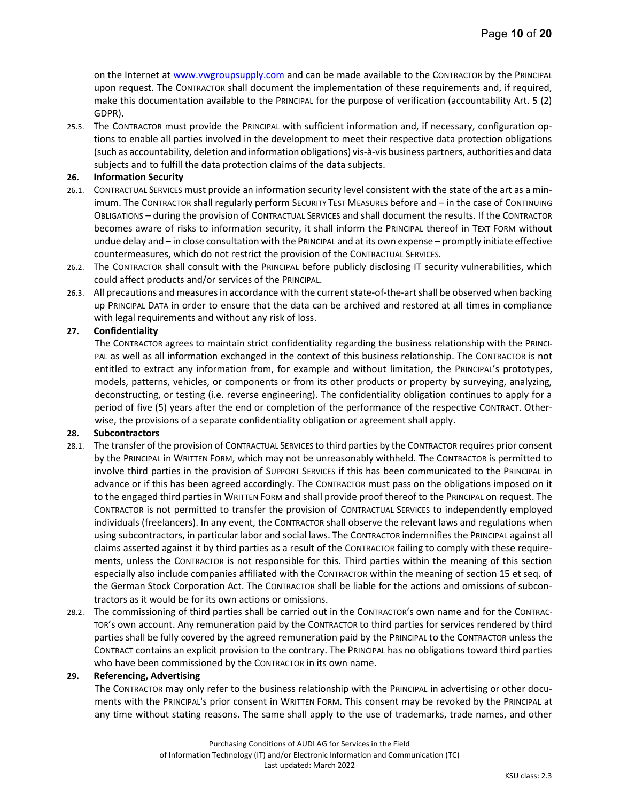on the Internet at www.vwgroupsupply.com and can be made available to the CONTRACTOR by the PRINCIPAL upon request. The CONTRACTOR shall document the implementation of these requirements and, if required, make this documentation available to the PRINCIPAL for the purpose of verification (accountability Art. 5 (2) GDPR).

25.5. The CONTRACTOR must provide the PRINCIPAL with sufficient information and, if necessary, configuration options to enable all parties involved in the development to meet their respective data protection obligations (such as accountability, deletion and information obligations) vis-à-vis business partners, authorities and data subjects and to fulfill the data protection claims of the data subjects.

#### 26. Information Security

- 26.1. CONTRACTUAL SERVICES must provide an information security level consistent with the state of the art as a minimum. The CONTRACTOR shall regularly perform SECURITY TEST MEASURES before and – in the case of CONTINUING OBLIGATIONS – during the provision of CONTRACTUAL SERVICES and shall document the results. If the CONTRACTOR becomes aware of risks to information security, it shall inform the PRINCIPAL thereof in TEXT FORM without undue delay and – in close consultation with the PRINCIPAL and at its own expense – promptly initiate effective countermeasures, which do not restrict the provision of the CONTRACTUAL SERVICES.
- 26.2. The CONTRACTOR shall consult with the PRINCIPAL before publicly disclosing IT security vulnerabilities, which could affect products and/or services of the PRINCIPAL.
- 26.3. All precautions and measures in accordance with the current state-of-the-art shall be observed when backing up PRINCIPAL DATA in order to ensure that the data can be archived and restored at all times in compliance with legal requirements and without any risk of loss.

#### 27. Confidentiality

The CONTRACTOR agrees to maintain strict confidentiality regarding the business relationship with the PRINCI-PAL as well as all information exchanged in the context of this business relationship. The CONTRACTOR is not entitled to extract any information from, for example and without limitation, the PRINCIPAL's prototypes, models, patterns, vehicles, or components or from its other products or property by surveying, analyzing, deconstructing, or testing (i.e. reverse engineering). The confidentiality obligation continues to apply for a period of five (5) years after the end or completion of the performance of the respective CONTRACT. Otherwise, the provisions of a separate confidentiality obligation or agreement shall apply.

#### 28. Subcontractors

- 28.1. The transfer of the provision of CONTRACTUAL SERVICES to third parties by the CONTRACTOR requires prior consent by the PRINCIPAL in WRITTEN FORM, which may not be unreasonably withheld. The CONTRACTOR is permitted to involve third parties in the provision of SUPPORT SERVICES if this has been communicated to the PRINCIPAL in advance or if this has been agreed accordingly. The CONTRACTOR must pass on the obligations imposed on it to the engaged third parties in WRITTEN FORM and shall provide proof thereof to the PRINCIPAL on request. The CONTRACTOR is not permitted to transfer the provision of CONTRACTUAL SERVICES to independently employed individuals (freelancers). In any event, the CONTRACTOR shall observe the relevant laws and regulations when using subcontractors, in particular labor and social laws. The CONTRACTOR indemnifies the PRINCIPAL against all claims asserted against it by third parties as a result of the CONTRACTOR failing to comply with these requirements, unless the CONTRACTOR is not responsible for this. Third parties within the meaning of this section especially also include companies affiliated with the CONTRACTOR within the meaning of section 15 et seq. of the German Stock Corporation Act. The CONTRACTOR shall be liable for the actions and omissions of subcontractors as it would be for its own actions or omissions.
- 28.2. The commissioning of third parties shall be carried out in the CONTRACTOR's own name and for the CONTRAC-TOR's own account. Any remuneration paid by the CONTRACTOR to third parties for services rendered by third parties shall be fully covered by the agreed remuneration paid by the PRINCIPAL to the CONTRACTOR unless the CONTRACT contains an explicit provision to the contrary. The PRINCIPAL has no obligations toward third parties who have been commissioned by the CONTRACTOR in its own name.

#### 29. Referencing, Advertising

The CONTRACTOR may only refer to the business relationship with the PRINCIPAL in advertising or other documents with the PRINCIPAL's prior consent in WRITTEN FORM. This consent may be revoked by the PRINCIPAL at any time without stating reasons. The same shall apply to the use of trademarks, trade names, and other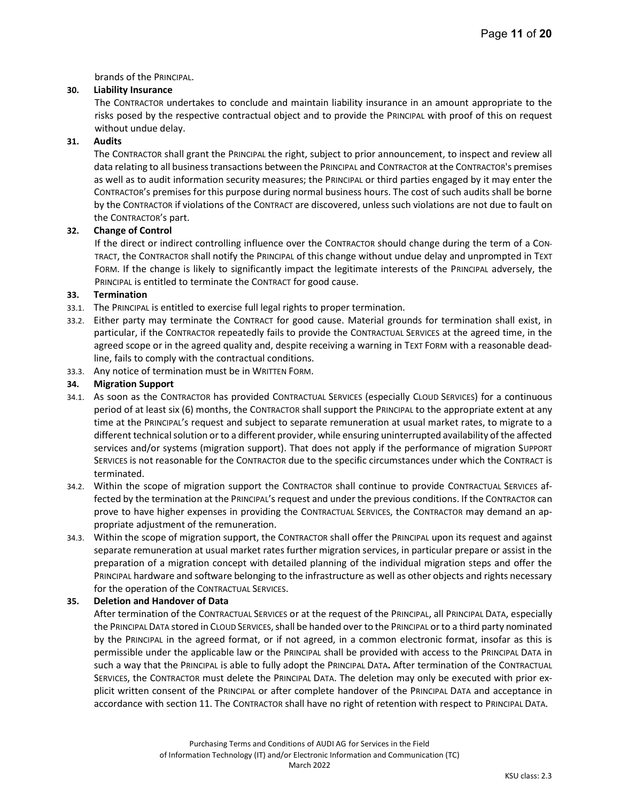brands of the PRINCIPAL.

## 30. Liability Insurance

The CONTRACTOR undertakes to conclude and maintain liability insurance in an amount appropriate to the risks posed by the respective contractual object and to provide the PRINCIPAL with proof of this on request without undue delay.

## 31. Audits

The CONTRACTOR shall grant the PRINCIPAL the right, subject to prior announcement, to inspect and review all data relating to all business transactions between the PRINCIPAL and CONTRACTOR at the CONTRACTOR's premises as well as to audit information security measures; the PRINCIPAL or third parties engaged by it may enter the CONTRACTOR's premises for this purpose during normal business hours. The cost of such audits shall be borne by the CONTRACTOR if violations of the CONTRACT are discovered, unless such violations are not due to fault on the CONTRACTOR's part.

## 32. Change of Control

If the direct or indirect controlling influence over the CONTRACTOR should change during the term of a CON-TRACT, the CONTRACTOR shall notify the PRINCIPAL of this change without undue delay and unprompted in TEXT FORM. If the change is likely to significantly impact the legitimate interests of the PRINCIPAL adversely, the PRINCIPAL is entitled to terminate the CONTRACT for good cause.

## 33. Termination

- 33.1. The PRINCIPAL is entitled to exercise full legal rights to proper termination.
- 33.2. Either party may terminate the CONTRACT for good cause. Material grounds for termination shall exist, in particular, if the CONTRACTOR repeatedly fails to provide the CONTRACTUAL SERVICES at the agreed time, in the agreed scope or in the agreed quality and, despite receiving a warning in TEXT FORM with a reasonable deadline, fails to comply with the contractual conditions.
- 33.3. Any notice of termination must be in WRITTEN FORM.

## 34. Migration Support

- 34.1. As soon as the CONTRACTOR has provided CONTRACTUAL SERVICES (especially CLOUD SERVICES) for a continuous period of at least six (6) months, the CONTRACTOR shall support the PRINCIPAL to the appropriate extent at any time at the PRINCIPAL's request and subject to separate remuneration at usual market rates, to migrate to a different technical solution or to a different provider, while ensuring uninterrupted availability of the affected services and/or systems (migration support). That does not apply if the performance of migration SUPPORT SERVICES is not reasonable for the CONTRACTOR due to the specific circumstances under which the CONTRACT is terminated.
- 34.2. Within the scope of migration support the CONTRACTOR shall continue to provide CONTRACTUAL SERVICES affected by the termination at the PRINCIPAL's request and under the previous conditions. If the CONTRACTOR can prove to have higher expenses in providing the CONTRACTUAL SERVICES, the CONTRACTOR may demand an appropriate adjustment of the remuneration.
- 34.3. Within the scope of migration support, the CONTRACTOR shall offer the PRINCIPAL upon its request and against separate remuneration at usual market rates further migration services, in particular prepare or assist in the preparation of a migration concept with detailed planning of the individual migration steps and offer the PRINCIPAL hardware and software belonging to the infrastructure as well as other objects and rights necessary for the operation of the CONTRACTUAL SERVICES.

## 35. Deletion and Handover of Data

After termination of the CONTRACTUAL SERVICES or at the request of the PRINCIPAL, all PRINCIPAL DATA, especially the PRINCIPAL DATA stored in CLOUD SERVICES, shall be handed over to the PRINCIPAL or to a third party nominated by the PRINCIPAL in the agreed format, or if not agreed, in a common electronic format, insofar as this is permissible under the applicable law or the PRINCIPAL shall be provided with access to the PRINCIPAL DATA in such a way that the PRINCIPAL is able to fully adopt the PRINCIPAL DATA. After termination of the CONTRACTUAL SERVICES, the CONTRACTOR must delete the PRINCIPAL DATA. The deletion may only be executed with prior explicit written consent of the PRINCIPAL or after complete handover of the PRINCIPAL DATA and acceptance in accordance with section 11. The CONTRACTOR shall have no right of retention with respect to PRINCIPAL DATA.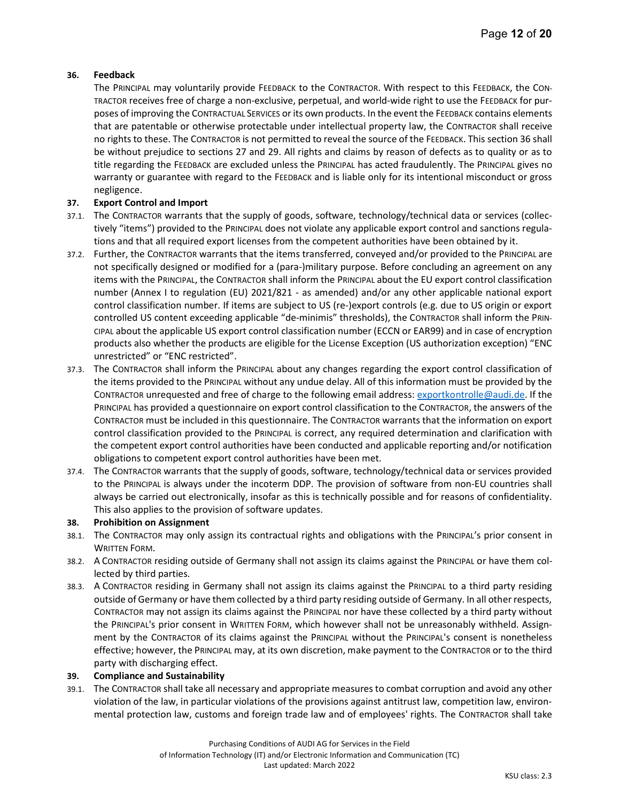## 36. Feedback

The PRINCIPAL may voluntarily provide FEEDBACK to the CONTRACTOR. With respect to this FEEDBACK, the CON-TRACTOR receives free of charge a non-exclusive, perpetual, and world-wide right to use the FEEDBACK for purposes of improving the CONTRACTUAL SERVICES or its own products. In the event the FEEDBACK contains elements that are patentable or otherwise protectable under intellectual property law, the CONTRACTOR shall receive no rights to these. The CONTRACTOR is not permitted to reveal the source of the FEEDBACK. This section 36 shall be without prejudice to sections 27 and 29. All rights and claims by reason of defects as to quality or as to title regarding the FEEDBACK are excluded unless the PRINCIPAL has acted fraudulently. The PRINCIPAL gives no warranty or guarantee with regard to the FEEDBACK and is liable only for its intentional misconduct or gross negligence.

## 37. Export Control and Import

- 37.1. The CONTRACTOR warrants that the supply of goods, software, technology/technical data or services (collectively "items") provided to the PRINCIPAL does not violate any applicable export control and sanctions regulations and that all required export licenses from the competent authorities have been obtained by it.
- 37.2. Further, the CONTRACTOR warrants that the items transferred, conveyed and/or provided to the PRINCIPAL are not specifically designed or modified for a (para-)military purpose. Before concluding an agreement on any items with the PRINCIPAL, the CONTRACTOR shall inform the PRINCIPAL about the EU export control classification number (Annex I to regulation (EU) 2021/821 - as amended) and/or any other applicable national export control classification number. If items are subject to US (re-)export controls (e.g. due to US origin or export controlled US content exceeding applicable "de-minimis" thresholds), the CONTRACTOR shall inform the PRIN-CIPAL about the applicable US export control classification number (ECCN or EAR99) and in case of encryption products also whether the products are eligible for the License Exception (US authorization exception) "ENC unrestricted" or "ENC restricted".
- 37.3. The CONTRACTOR shall inform the PRINCIPAL about any changes regarding the export control classification of the items provided to the PRINCIPAL without any undue delay. All of this information must be provided by the CONTRACTOR unrequested and free of charge to the following email address: exportkontrolle@audi.de. If the PRINCIPAL has provided a questionnaire on export control classification to the CONTRACTOR, the answers of the CONTRACTOR must be included in this questionnaire. The CONTRACTOR warrants that the information on export control classification provided to the PRINCIPAL is correct, any required determination and clarification with the competent export control authorities have been conducted and applicable reporting and/or notification obligations to competent export control authorities have been met.
- 37.4. The CONTRACTOR warrants that the supply of goods, software, technology/technical data or services provided to the PRINCIPAL is always under the incoterm DDP. The provision of software from non-EU countries shall always be carried out electronically, insofar as this is technically possible and for reasons of confidentiality. This also applies to the provision of software updates.

## 38. Prohibition on Assignment

- 38.1. The CONTRACTOR may only assign its contractual rights and obligations with the PRINCIPAL's prior consent in WRITTEN FORM.
- 38.2. A CONTRACTOR residing outside of Germany shall not assign its claims against the PRINCIPAL or have them collected by third parties.
- 38.3. A CONTRACTOR residing in Germany shall not assign its claims against the PRINCIPAL to a third party residing outside of Germany or have them collected by a third party residing outside of Germany. In all other respects, CONTRACTOR may not assign its claims against the PRINCIPAL nor have these collected by a third party without the PRINCIPAL's prior consent in WRITTEN FORM, which however shall not be unreasonably withheld. Assignment by the CONTRACTOR of its claims against the PRINCIPAL without the PRINCIPAL's consent is nonetheless effective; however, the PRINCIPAL may, at its own discretion, make payment to the CONTRACTOR or to the third party with discharging effect.

## 39. Compliance and Sustainability

39.1. The CONTRACTOR shall take all necessary and appropriate measures to combat corruption and avoid any other violation of the law, in particular violations of the provisions against antitrust law, competition law, environmental protection law, customs and foreign trade law and of employees' rights. The CONTRACTOR shall take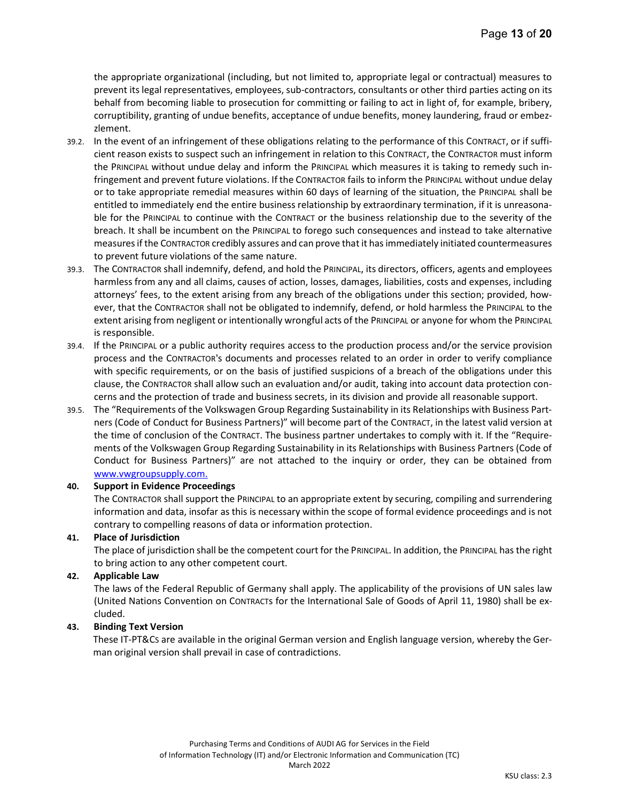the appropriate organizational (including, but not limited to, appropriate legal or contractual) measures to prevent its legal representatives, employees, sub-contractors, consultants or other third parties acting on its behalf from becoming liable to prosecution for committing or failing to act in light of, for example, bribery, corruptibility, granting of undue benefits, acceptance of undue benefits, money laundering, fraud or embezzlement.

- 39.2. In the event of an infringement of these obligations relating to the performance of this CONTRACT, or if sufficient reason exists to suspect such an infringement in relation to this CONTRACT, the CONTRACTOR must inform the PRINCIPAL without undue delay and inform the PRINCIPAL which measures it is taking to remedy such infringement and prevent future violations. If the CONTRACTOR fails to inform the PRINCIPAL without undue delay or to take appropriate remedial measures within 60 days of learning of the situation, the PRINCIPAL shall be entitled to immediately end the entire business relationship by extraordinary termination, if it is unreasonable for the PRINCIPAL to continue with the CONTRACT or the business relationship due to the severity of the breach. It shall be incumbent on the PRINCIPAL to forego such consequences and instead to take alternative measures if the CONTRACTOR credibly assures and can prove that it has immediately initiated countermeasures to prevent future violations of the same nature.
- 39.3. The CONTRACTOR shall indemnify, defend, and hold the PRINCIPAL, its directors, officers, agents and employees harmless from any and all claims, causes of action, losses, damages, liabilities, costs and expenses, including attorneys' fees, to the extent arising from any breach of the obligations under this section; provided, however, that the CONTRACTOR shall not be obligated to indemnify, defend, or hold harmless the PRINCIPAL to the extent arising from negligent or intentionally wrongful acts of the PRINCIPAL or anyone for whom the PRINCIPAL is responsible.
- 39.4. If the PRINCIPAL or a public authority requires access to the production process and/or the service provision process and the CONTRACTOR's documents and processes related to an order in order to verify compliance with specific requirements, or on the basis of justified suspicions of a breach of the obligations under this clause, the CONTRACTOR shall allow such an evaluation and/or audit, taking into account data protection concerns and the protection of trade and business secrets, in its division and provide all reasonable support.
- 39.5. The "Requirements of the Volkswagen Group Regarding Sustainability in its Relationships with Business Partners (Code of Conduct for Business Partners)" will become part of the CONTRACT, in the latest valid version at the time of conclusion of the CONTRACT. The business partner undertakes to comply with it. If the "Requirements of the Volkswagen Group Regarding Sustainability in its Relationships with Business Partners (Code of Conduct for Business Partners)" are not attached to the inquiry or order, they can be obtained from www.vwgroupsupply.com.

## 40. Support in Evidence Proceedings

The CONTRACTOR shall support the PRINCIPAL to an appropriate extent by securing, compiling and surrendering information and data, insofar as this is necessary within the scope of formal evidence proceedings and is not contrary to compelling reasons of data or information protection.

## 41. Place of Jurisdiction

The place of jurisdiction shall be the competent court for the PRINCIPAL. In addition, the PRINCIPAL has the right to bring action to any other competent court.

## 42. Applicable Law

The laws of the Federal Republic of Germany shall apply. The applicability of the provisions of UN sales law (United Nations Convention on CONTRACTs for the International Sale of Goods of April 11, 1980) shall be excluded.

## 43. Binding Text Version

These IT-PT&CS are available in the original German version and English language version, whereby the German original version shall prevail in case of contradictions.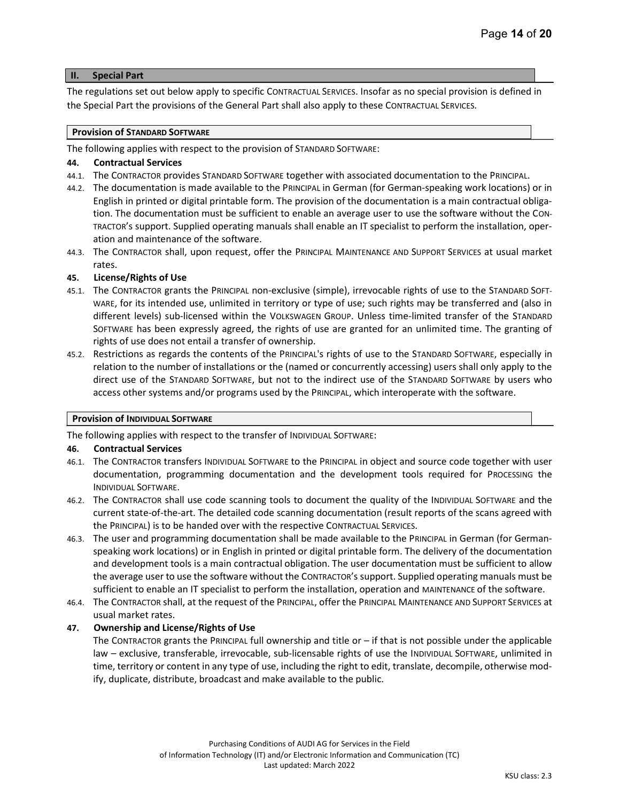## II. Special Part

The regulations set out below apply to specific CONTRACTUAL SERVICES. Insofar as no special provision is defined in the Special Part the provisions of the General Part shall also apply to these CONTRACTUAL SERVICES.

#### Provision of STANDARD SOFTWARE

The following applies with respect to the provision of STANDARD SOFTWARE:

#### 44. Contractual Services

- 44.1. The CONTRACTOR provides STANDARD SOFTWARE together with associated documentation to the PRINCIPAL.
- 44.2. The documentation is made available to the PRINCIPAL in German (for German-speaking work locations) or in English in printed or digital printable form. The provision of the documentation is a main contractual obligation. The documentation must be sufficient to enable an average user to use the software without the CON-TRACTOR's support. Supplied operating manuals shall enable an IT specialist to perform the installation, operation and maintenance of the software.
- 44.3. The CONTRACTOR shall, upon request, offer the PRINCIPAL MAINTENANCE AND SUPPORT SERVICES at usual market rates.

#### 45. License/Rights of Use

- 45.1. The CONTRACTOR grants the PRINCIPAL non-exclusive (simple), irrevocable rights of use to the STANDARD SOFT-WARE, for its intended use, unlimited in territory or type of use; such rights may be transferred and (also in different levels) sub-licensed within the VOLKSWAGEN GROUP. Unless time-limited transfer of the STANDARD SOFTWARE has been expressly agreed, the rights of use are granted for an unlimited time. The granting of rights of use does not entail a transfer of ownership.
- 45.2. Restrictions as regards the contents of the PRINCIPAL's rights of use to the STANDARD SOFTWARE, especially in relation to the number of installations or the (named or concurrently accessing) users shall only apply to the direct use of the STANDARD SOFTWARE, but not to the indirect use of the STANDARD SOFTWARE by users who access other systems and/or programs used by the PRINCIPAL, which interoperate with the software.

#### Provision of INDIVIDUAL SOFTWARE

The following applies with respect to the transfer of INDIVIDUAL SOFTWARE:

#### 46. Contractual Services

- 46.1. The CONTRACTOR transfers INDIVIDUAL SOFTWARE to the PRINCIPAL in object and source code together with user documentation, programming documentation and the development tools required for PROCESSING the INDIVIDUAL SOFTWARE.
- 46.2. The CONTRACTOR shall use code scanning tools to document the quality of the INDIVIDUAL SOFTWARE and the current state-of-the-art. The detailed code scanning documentation (result reports of the scans agreed with the PRINCIPAL) is to be handed over with the respective CONTRACTUAL SERVICES.
- 46.3. The user and programming documentation shall be made available to the PRINCIPAL in German (for Germanspeaking work locations) or in English in printed or digital printable form. The delivery of the documentation and development tools is a main contractual obligation. The user documentation must be sufficient to allow the average user to use the software without the CONTRACTOR's support. Supplied operating manuals must be sufficient to enable an IT specialist to perform the installation, operation and MAINTENANCE of the software.
- 46.4. The CONTRACTOR shall, at the request of the PRINCIPAL, offer the PRINCIPAL MAINTENANCE AND SUPPORT SERVICES at usual market rates.

## 47. Ownership and License/Rights of Use

The CONTRACTOR grants the PRINCIPAL full ownership and title or – if that is not possible under the applicable law – exclusive, transferable, irrevocable, sub-licensable rights of use the INDIVIDUAL SOFTWARE, unlimited in time, territory or content in any type of use, including the right to edit, translate, decompile, otherwise modify, duplicate, distribute, broadcast and make available to the public.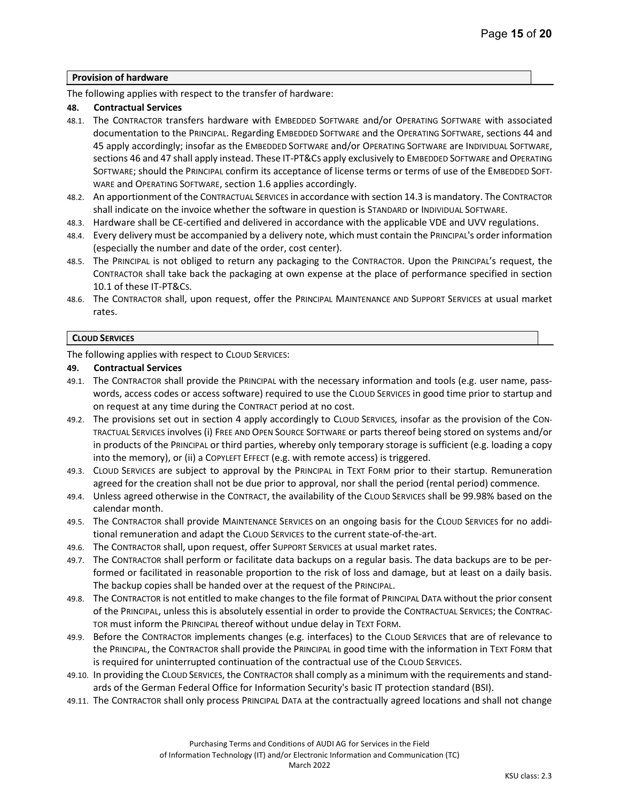#### Provision of hardware

The following applies with respect to the transfer of hardware:

#### 48. Contractual Services

- 48.1. The CONTRACTOR transfers hardware with EMBEDDED SOFTWARE and/or OPERATING SOFTWARE with associated documentation to the PRINCIPAL. Regarding EMBEDDED SOFTWARE and the OPERATING SOFTWARE, sections 44 and 45 apply accordingly; insofar as the EMBEDDED SOFTWARE and/or OPERATING SOFTWARE are INDIVIDUAL SOFTWARE, sections 46 and 47 shall apply instead. These IT-PT&CS apply exclusively to EMBEDDED SOFTWARE and OPERATING SOFTWARE; should the PRINCIPAL confirm its acceptance of license terms or terms of use of the EMBEDDED SOFT-WARE and OPERATING SOFTWARE, section 1.6 applies accordingly.
- 48.2. An apportionment of the CONTRACTUAL SERVICES in accordance with section 14.3 is mandatory. The CONTRACTOR shall indicate on the invoice whether the software in question is STANDARD or INDIVIDUAL SOFTWARE.
- 48.3. Hardware shall be CE-certified and delivered in accordance with the applicable VDE and UVV regulations.
- 48.4. Every delivery must be accompanied by a delivery note, which must contain the PRINCIPAL's order information (especially the number and date of the order, cost center).
- 48.5. The PRINCIPAL is not obliged to return any packaging to the CONTRACTOR. Upon the PRINCIPAL's request, the CONTRACTOR shall take back the packaging at own expense at the place of performance specified in section 10.1 of these IT-PT&CS.
- 48.6. The CONTRACTOR shall, upon request, offer the PRINCIPAL MAINTENANCE AND SUPPORT SERVICES at usual market rates.

#### CLOUD SERVICES

The following applies with respect to CLOUD SERVICES:

#### 49. Contractual Services

- 49.1. The CONTRACTOR shall provide the PRINCIPAL with the necessary information and tools (e.g. user name, passwords, access codes or access software) required to use the CLOUD SERVICES in good time prior to startup and on request at any time during the CONTRACT period at no cost.
- 49.2. The provisions set out in section 4 apply accordingly to CLOUD SERVICES, insofar as the provision of the CON-TRACTUAL SERVICES involves (i) FREE AND OPEN SOURCE SOFTWARE or parts thereof being stored on systems and/or in products of the PRINCIPAL or third parties, whereby only temporary storage is sufficient (e.g. loading a copy into the memory), or (ii) a COPYLEFT EFFECT (e.g. with remote access) is triggered.
- 49.3. CLOUD SERVICES are subject to approval by the PRINCIPAL in TEXT FORM prior to their startup. Remuneration agreed for the creation shall not be due prior to approval, nor shall the period (rental period) commence.
- 49.4. Unless agreed otherwise in the CONTRACT, the availability of the CLOUD SERVICES shall be 99.98% based on the calendar month.
- 49.5. The CONTRACTOR shall provide MAINTENANCE SERVICES on an ongoing basis for the CLOUD SERVICES for no additional remuneration and adapt the CLOUD SERVICES to the current state-of-the-art.
- 49.6. The CONTRACTOR shall, upon request, offer SUPPORT SERVICES at usual market rates.
- 49.7. The CONTRACTOR shall perform or facilitate data backups on a regular basis. The data backups are to be performed or facilitated in reasonable proportion to the risk of loss and damage, but at least on a daily basis. The backup copies shall be handed over at the request of the PRINCIPAL.
- 49.8. The CONTRACTOR is not entitled to make changes to the file format of PRINCIPAL DATA without the prior consent of the PRINCIPAL, unless this is absolutely essential in order to provide the CONTRACTUAL SERVICES; the CONTRAC-TOR must inform the PRINCIPAL thereof without undue delay in TEXT FORM.
- 49.9. Before the CONTRACTOR implements changes (e.g. interfaces) to the CLOUD SERVICES that are of relevance to the PRINCIPAL, the CONTRACTOR shall provide the PRINCIPAL in good time with the information in TEXT FORM that is required for uninterrupted continuation of the contractual use of the CLOUD SERVICES.
- 49.10. In providing the CLOUD SERVICES, the CONTRACTOR shall comply as a minimum with the requirements and standards of the German Federal Office for Information Security's basic IT protection standard (BSI).
- 49.11. The CONTRACTOR shall only process PRINCIPAL DATA at the contractually agreed locations and shall not change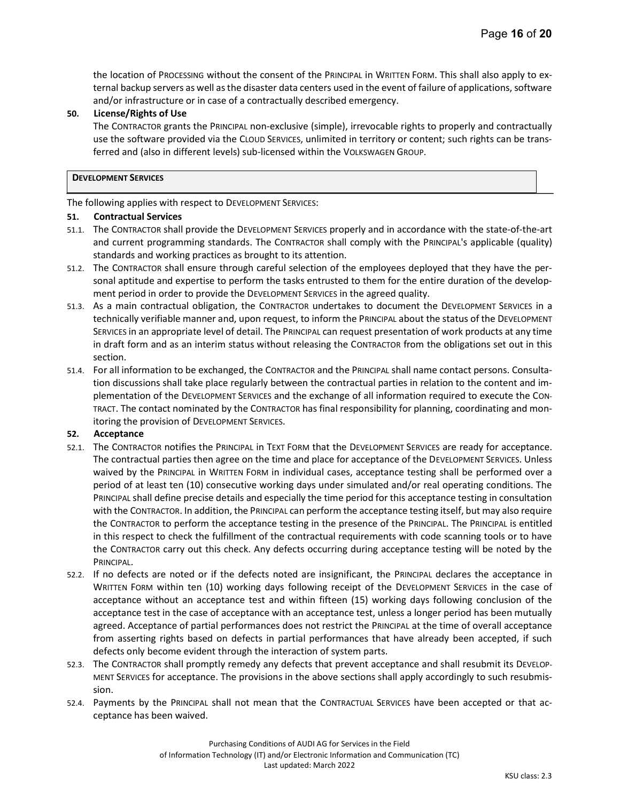the location of PROCESSING without the consent of the PRINCIPAL in WRITTEN FORM. This shall also apply to external backup servers as well as the disaster data centers used in the event of failure of applications, software and/or infrastructure or in case of a contractually described emergency.

## 50. License/Rights of Use

The CONTRACTOR grants the PRINCIPAL non-exclusive (simple), irrevocable rights to properly and contractually use the software provided via the CLOUD SERVICES, unlimited in territory or content; such rights can be transferred and (also in different levels) sub-licensed within the VOLKSWAGEN GROUP.

#### DEVELOPMENT SERVICES

The following applies with respect to DEVELOPMENT SERVICES:

#### 51. Contractual Services

- 51.1. The CONTRACTOR shall provide the DEVELOPMENT SERVICES properly and in accordance with the state-of-the-art and current programming standards. The CONTRACTOR shall comply with the PRINCIPAL's applicable (quality) standards and working practices as brought to its attention.
- 51.2. The CONTRACTOR shall ensure through careful selection of the employees deployed that they have the personal aptitude and expertise to perform the tasks entrusted to them for the entire duration of the development period in order to provide the DEVELOPMENT SERVICES in the agreed quality.
- 51.3. As a main contractual obligation, the CONTRACTOR undertakes to document the DEVELOPMENT SERVICES in a technically verifiable manner and, upon request, to inform the PRINCIPAL about the status of the DEVELOPMENT SERVICES in an appropriate level of detail. The PRINCIPAL can request presentation of work products at any time in draft form and as an interim status without releasing the CONTRACTOR from the obligations set out in this section.
- 51.4. For all information to be exchanged, the CONTRACTOR and the PRINCIPAL shall name contact persons. Consultation discussions shall take place regularly between the contractual parties in relation to the content and implementation of the DEVELOPMENT SERVICES and the exchange of all information required to execute the CON-TRACT. The contact nominated by the CONTRACTOR has final responsibility for planning, coordinating and monitoring the provision of DEVELOPMENT SERVICES.

## 52. Acceptance

- 52.1. The CONTRACTOR notifies the PRINCIPAL in TEXT FORM that the DEVELOPMENT SERVICES are ready for acceptance. The contractual parties then agree on the time and place for acceptance of the DEVELOPMENT SERVICES. Unless waived by the PRINCIPAL in WRITTEN FORM in individual cases, acceptance testing shall be performed over a period of at least ten (10) consecutive working days under simulated and/or real operating conditions. The PRINCIPAL shall define precise details and especially the time period for this acceptance testing in consultation with the CONTRACTOR. In addition, the PRINCIPAL can perform the acceptance testing itself, but may also require the CONTRACTOR to perform the acceptance testing in the presence of the PRINCIPAL. The PRINCIPAL is entitled in this respect to check the fulfillment of the contractual requirements with code scanning tools or to have the CONTRACTOR carry out this check. Any defects occurring during acceptance testing will be noted by the PRINCIPAL.
- 52.2. If no defects are noted or if the defects noted are insignificant, the PRINCIPAL declares the acceptance in WRITTEN FORM within ten (10) working days following receipt of the DEVELOPMENT SERVICES in the case of acceptance without an acceptance test and within fifteen (15) working days following conclusion of the acceptance test in the case of acceptance with an acceptance test, unless a longer period has been mutually agreed. Acceptance of partial performances does not restrict the PRINCIPAL at the time of overall acceptance from asserting rights based on defects in partial performances that have already been accepted, if such defects only become evident through the interaction of system parts.
- 52.3. The CONTRACTOR shall promptly remedy any defects that prevent acceptance and shall resubmit its DEVELOP-MENT SERVICES for acceptance. The provisions in the above sections shall apply accordingly to such resubmission.
- 52.4. Payments by the PRINCIPAL shall not mean that the CONTRACTUAL SERVICES have been accepted or that acceptance has been waived.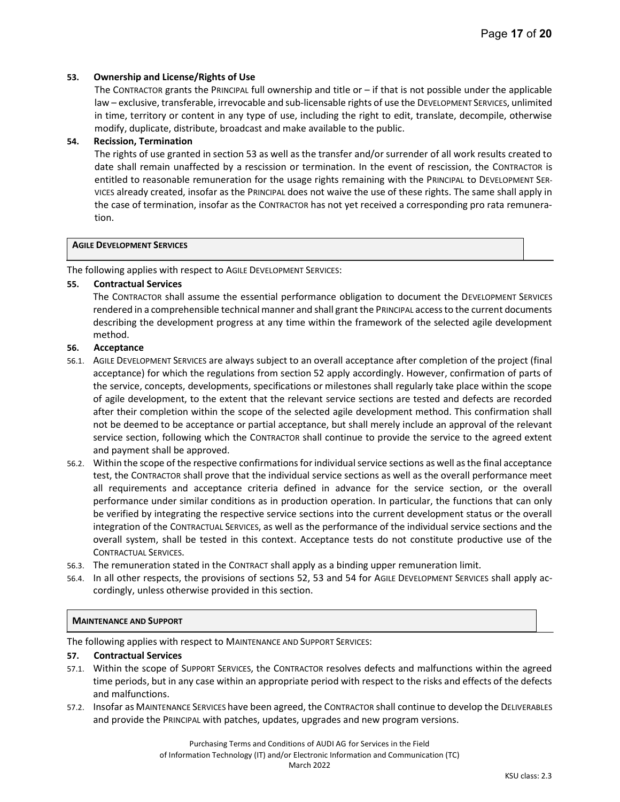#### 53. Ownership and License/Rights of Use

The CONTRACTOR grants the PRINCIPAL full ownership and title or – if that is not possible under the applicable law – exclusive, transferable, irrevocable and sub-licensable rights of use the DEVELOPMENT SERVICES, unlimited in time, territory or content in any type of use, including the right to edit, translate, decompile, otherwise modify, duplicate, distribute, broadcast and make available to the public.

#### 54. Recission, Termination

The rights of use granted in section 53 as well as the transfer and/or surrender of all work results created to date shall remain unaffected by a rescission or termination. In the event of rescission, the CONTRACTOR is entitled to reasonable remuneration for the usage rights remaining with the PRINCIPAL to DEVELOPMENT SER-VICES already created, insofar as the PRINCIPAL does not waive the use of these rights. The same shall apply in the case of termination, insofar as the CONTRACTOR has not yet received a corresponding pro rata remuneration.

#### AGILE DEVELOPMENT SERVICES

The following applies with respect to AGILE DEVELOPMENT SERVICES:

#### 55. Contractual Services

The CONTRACTOR shall assume the essential performance obligation to document the DEVELOPMENT SERVICES rendered in a comprehensible technical manner and shall grant the PRINCIPAL access to the current documents describing the development progress at any time within the framework of the selected agile development method.

#### 56. Acceptance

- 56.1. AGILE DEVELOPMENT SERVICES are always subject to an overall acceptance after completion of the project (final acceptance) for which the regulations from section 52 apply accordingly. However, confirmation of parts of the service, concepts, developments, specifications or milestones shall regularly take place within the scope of agile development, to the extent that the relevant service sections are tested and defects are recorded after their completion within the scope of the selected agile development method. This confirmation shall not be deemed to be acceptance or partial acceptance, but shall merely include an approval of the relevant service section, following which the CONTRACTOR shall continue to provide the service to the agreed extent and payment shall be approved.
- 56.2. Within the scope of the respective confirmations for individual service sections as well as the final acceptance test, the CONTRACTOR shall prove that the individual service sections as well as the overall performance meet all requirements and acceptance criteria defined in advance for the service section, or the overall performance under similar conditions as in production operation. In particular, the functions that can only be verified by integrating the respective service sections into the current development status or the overall integration of the CONTRACTUAL SERVICES, as well as the performance of the individual service sections and the overall system, shall be tested in this context. Acceptance tests do not constitute productive use of the CONTRACTUAL SERVICES.
- 56.3. The remuneration stated in the CONTRACT shall apply as a binding upper remuneration limit.
- 56.4. In all other respects, the provisions of sections 52, 53 and 54 for AGILE DEVELOPMENT SERVICES shall apply accordingly, unless otherwise provided in this section.

#### MAINTENANCE AND SUPPORT

The following applies with respect to MAINTENANCE AND SUPPORT SERVICES:

#### 57. Contractual Services

- 57.1. Within the scope of SUPPORT SERVICES, the CONTRACTOR resolves defects and malfunctions within the agreed time periods, but in any case within an appropriate period with respect to the risks and effects of the defects and malfunctions.
- 57.2. Insofar as MAINTENANCE SERVICES have been agreed, the CONTRACTOR shall continue to develop the DELIVERABLES and provide the PRINCIPAL with patches, updates, upgrades and new program versions.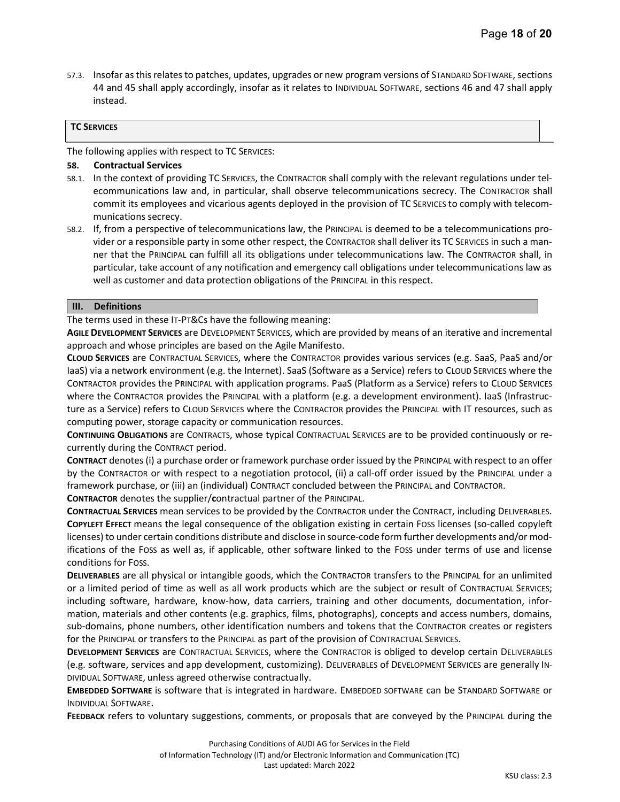57.3. Insofar as this relates to patches, updates, upgrades or new program versions of STANDARD SOFTWARE, sections 44 and 45 shall apply accordingly, insofar as it relates to INDIVIDUAL SOFTWARE, sections 46 and 47 shall apply instead.

## TC SERVICES

The following applies with respect to TC SERVICES:

#### 58. Contractual Services

- 58.1. In the context of providing TC SERVICES, the CONTRACTOR shall comply with the relevant regulations under telecommunications law and, in particular, shall observe telecommunications secrecy. The CONTRACTOR shall commit its employees and vicarious agents deployed in the provision of TC SERVICES to comply with telecommunications secrecy.
- 58.2. If, from a perspective of telecommunications law, the PRINCIPAL is deemed to be a telecommunications provider or a responsible party in some other respect, the CONTRACTOR shall deliver its TC SERVICES in such a manner that the PRINCIPAL can fulfill all its obligations under telecommunications law. The CONTRACTOR shall, in particular, take account of any notification and emergency call obligations under telecommunications law as well as customer and data protection obligations of the PRINCIPAL in this respect.

#### III. Definitions

The terms used in these IT-PT&Cs have the following meaning:

AGILE DEVELOPMENT SERVICES are DEVELOPMENT SERVICES, which are provided by means of an iterative and incremental approach and whose principles are based on the Agile Manifesto.

CLOUD SERVICES are CONTRACTUAL SERVICES, where the CONTRACTOR provides various services (e.g. SaaS, PaaS and/or IaaS) via a network environment (e.g. the Internet). SaaS (Software as a Service) refers to CLOUD SERVICES where the CONTRACTOR provides the PRINCIPAL with application programs. PaaS (Platform as a Service) refers to CLOUD SERVICES where the CONTRACTOR provides the PRINCIPAL with a platform (e.g. a development environment). IaaS (Infrastructure as a Service) refers to CLOUD SERVICES where the CONTRACTOR provides the PRINCIPAL with IT resources, such as computing power, storage capacity or communication resources.

CONTINUING OBLIGATIONS are CONTRACTS, whose typical CONTRACTUAL SERVICES are to be provided continuously or recurrently during the CONTRACT period.

CONTRACT denotes (i) a purchase order or framework purchase order issued by the PRINCIPAL with respect to an offer by the CONTRACTOR or with respect to a negotiation protocol, (ii) a call-off order issued by the PRINCIPAL under a framework purchase, or (iii) an (individual) CONTRACT concluded between the PRINCIPAL and CONTRACTOR.

CONTRACTOR denotes the supplier/contractual partner of the PRINCIPAL.

CONTRACTUAL SERVICES mean services to be provided by the CONTRACTOR under the CONTRACT, including DELIVERABLES. COPYLEFT EFFECT means the legal consequence of the obligation existing in certain FOSS licenses (so-called copyleft licenses) to under certain conditions distribute and disclose in source-code form further developments and/or modifications of the FOSS as well as, if applicable, other software linked to the FOSS under terms of use and license conditions for FOSS.

DELIVERABLES are all physical or intangible goods, which the CONTRACTOR transfers to the PRINCIPAL for an unlimited or a limited period of time as well as all work products which are the subject or result of CONTRACTUAL SERVICES; including software, hardware, know-how, data carriers, training and other documents, documentation, information, materials and other contents (e.g. graphics, films, photographs), concepts and access numbers, domains, sub-domains, phone numbers, other identification numbers and tokens that the CONTRACTOR creates or registers for the PRINCIPAL or transfers to the PRINCIPAL as part of the provision of CONTRACTUAL SERVICES.

DEVELOPMENT SERVICES are CONTRACTUAL SERVICES, where the CONTRACTOR is obliged to develop certain DELIVERABLES (e.g. software, services and app development, customizing). DELIVERABLES of DEVELOPMENT SERVICES are generally IN-DIVIDUAL SOFTWARE, unless agreed otherwise contractually.

EMBEDDED SOFTWARE is software that is integrated in hardware. EMBEDDED SOFTWARE can be STANDARD SOFTWARE or INDIVIDUAL SOFTWARE.

FEEDBACK refers to voluntary suggestions, comments, or proposals that are conveyed by the PRINCIPAL during the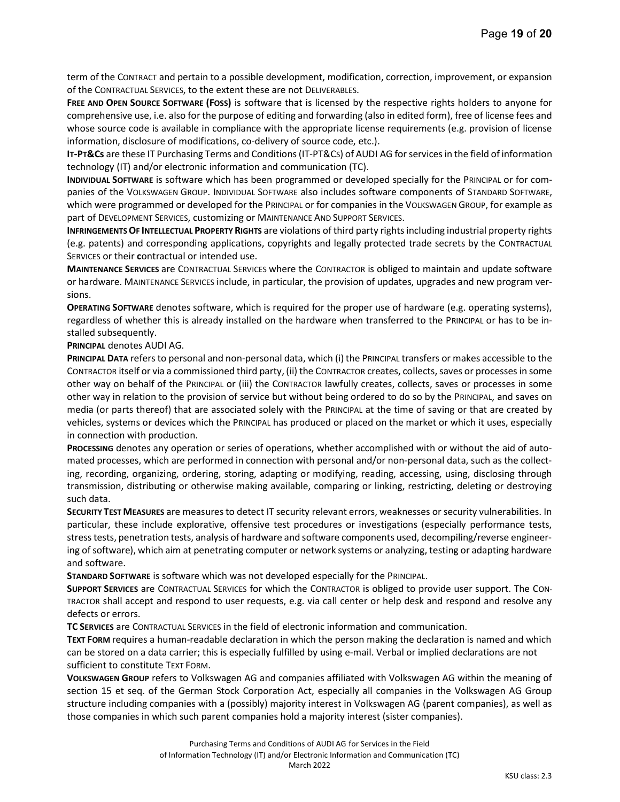term of the CONTRACT and pertain to a possible development, modification, correction, improvement, or expansion of the CONTRACTUAL SERVICES, to the extent these are not DELIVERABLES.

FREE AND OPEN SOURCE SOFTWARE (FOSS) is software that is licensed by the respective rights holders to anyone for comprehensive use, i.e. also for the purpose of editing and forwarding (also in edited form), free of license fees and whose source code is available in compliance with the appropriate license requirements (e.g. provision of license information, disclosure of modifications, co-delivery of source code, etc.).

IT-PT&Cs are these IT Purchasing Terms and Conditions (IT-PT&Cs) of AUDI AG for services in the field of information technology (IT) and/or electronic information and communication (TC).

INDIVIDUAL SOFTWARE is software which has been programmed or developed specially for the PRINCIPAL or for companies of the VOLKSWAGEN GROUP. INDIVIDUAL SOFTWARE also includes software components of STANDARD SOFTWARE, which were programmed or developed for the PRINCIPAL or for companies in the VOLKSWAGEN GROUP, for example as part of DEVELOPMENT SERVICES, customizing or MAINTENANCE AND SUPPORT SERVICES.

INFRINGEMENTS OF INTELLECTUAL PROPERTY RIGHTS are violations of third party rights including industrial property rights (e.g. patents) and corresponding applications, copyrights and legally protected trade secrets by the CONTRACTUAL SERVICES or their contractual or intended use.

MAINTENANCE SERVICES are CONTRACTUAL SERVICES where the CONTRACTOR is obliged to maintain and update software or hardware. MAINTENANCE SERVICES include, in particular, the provision of updates, upgrades and new program versions.

OPERATING SOFTWARE denotes software, which is required for the proper use of hardware (e.g. operating systems), regardless of whether this is already installed on the hardware when transferred to the PRINCIPAL or has to be installed subsequently.

PRINCIPAL denotes AUDI AG.

PRINCIPAL DATA refers to personal and non-personal data, which (i) the PRINCIPAL transfers or makes accessible to the CONTRACTOR itself or via a commissioned third party, (ii) the CONTRACTOR creates, collects, saves or processes in some other way on behalf of the PRINCIPAL or (iii) the CONTRACTOR lawfully creates, collects, saves or processes in some other way in relation to the provision of service but without being ordered to do so by the PRINCIPAL, and saves on media (or parts thereof) that are associated solely with the PRINCIPAL at the time of saving or that are created by vehicles, systems or devices which the PRINCIPAL has produced or placed on the market or which it uses, especially in connection with production.

PROCESSING denotes any operation or series of operations, whether accomplished with or without the aid of automated processes, which are performed in connection with personal and/or non-personal data, such as the collecting, recording, organizing, ordering, storing, adapting or modifying, reading, accessing, using, disclosing through transmission, distributing or otherwise making available, comparing or linking, restricting, deleting or destroying such data.

SECURITY TEST MEASURES are measures to detect IT security relevant errors, weaknesses or security vulnerabilities. In particular, these include explorative, offensive test procedures or investigations (especially performance tests, stress tests, penetration tests, analysis of hardware and software components used, decompiling/reverse engineering of software), which aim at penetrating computer or network systems or analyzing, testing or adapting hardware and software.

STANDARD SOFTWARE is software which was not developed especially for the PRINCIPAL.

SUPPORT SERVICES are CONTRACTUAL SERVICES for which the CONTRACTOR is obliged to provide user support. The CON-TRACTOR shall accept and respond to user requests, e.g. via call center or help desk and respond and resolve any defects or errors.

TC SERVICES are CONTRACTUAL SERVICES in the field of electronic information and communication.

TEXT FORM requires a human-readable declaration in which the person making the declaration is named and which can be stored on a data carrier; this is especially fulfilled by using e-mail. Verbal or implied declarations are not sufficient to constitute TEXT FORM.

VOLKSWAGEN GROUP refers to Volkswagen AG and companies affiliated with Volkswagen AG within the meaning of section 15 et seq. of the German Stock Corporation Act, especially all companies in the Volkswagen AG Group structure including companies with a (possibly) majority interest in Volkswagen AG (parent companies), as well as those companies in which such parent companies hold a majority interest (sister companies).